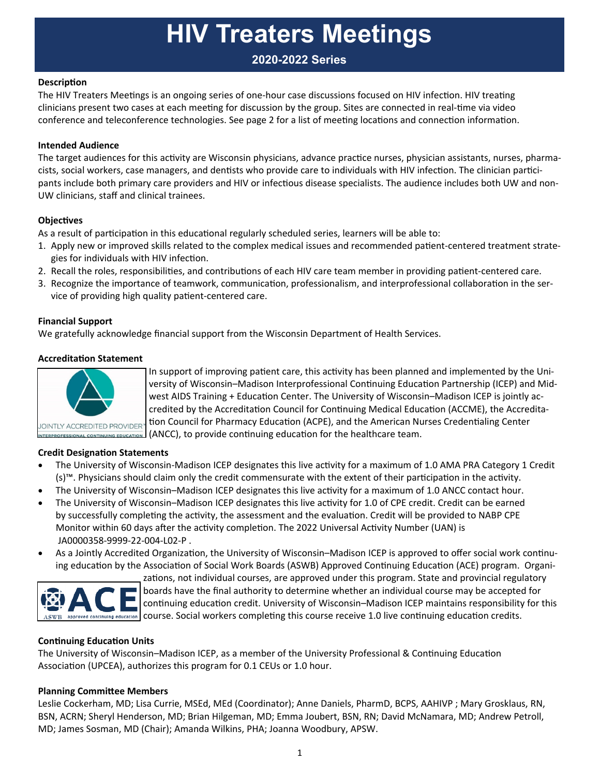# **HIV Treaters Meetings**

### **2020-2022 Series**

#### **DescripƟon**

The HIV Treaters Meetings is an ongoing series of one-hour case discussions focused on HIV infection. HIV treating clinicians present two cases at each meeting for discussion by the group. Sites are connected in real-time via video conference and teleconference technologies. See page 2 for a list of meeting locations and connection information.

#### **Intended Audience**

The target audiences for this activity are Wisconsin physicians, advance practice nurses, physician assistants, nurses, pharmacists, social workers, case managers, and dentists who provide care to individuals with HIV infection. The clinician participants include both primary care providers and HIV or infectious disease specialists. The audience includes both UW and non-UW clinicians, staff and clinical trainees.

#### **ObjecƟves**

As a result of participation in this educational regularly scheduled series, learners will be able to:

- 1. Apply new or improved skills related to the complex medical issues and recommended patient-centered treatment strategies for individuals with HIV infection.
- 2. Recall the roles, responsibilities, and contributions of each HIV care team member in providing patient-centered care.
- 3. Recognize the importance of teamwork, communication, professionalism, and interprofessional collaboration in the service of providing high quality patient-centered care.

#### **Financial Support**

We gratefully acknowledge financial support from the Wisconsin Department of Health Services.

#### **AccreditaƟon Statement**



In support of improving patient care, this activity has been planned and implemented by the University of Wisconsin–Madison Interprofessional Continuing Education Partnership (ICEP) and Midwest AIDS Training + Education Center. The University of Wisconsin–Madison ICEP is jointly accredited by the Accreditation Council for Continuing Medical Education (ACCME), the Accreditation Council for Pharmacy Education (ACPE), and the American Nurses Credentialing Center (ANCC), to provide continuing education for the healthcare team.

#### **Credit DesignaƟon Statements**

- The University of Wisconsin-Madison ICEP designates this live activity for a maximum of 1.0 AMA PRA Category 1 Credit (s)<sup>™</sup>. Physicians should claim only the credit commensurate with the extent of their participation in the activity.
- The University of Wisconsin–Madison ICEP designates this live activity for a maximum of 1.0 ANCC contact hour.
- The University of Wisconsin–Madison ICEP designates this live activity for 1.0 of CPE credit. Credit can be earned by successfully completing the activity, the assessment and the evaluation. Credit will be provided to NABP CPE Monitor within 60 days after the activity completion. The 2022 Universal Activity Number (UAN) is JA0000358‐9999‐22‐004‐L02‐P .
- As a Jointly Accredited Organization, the University of Wisconsin–Madison ICEP is approved to offer social work continuing education by the Association of Social Work Boards (ASWB) Approved Continuing Education (ACE) program. Organi-



zations, not individual courses, are approved under this program. State and provincial regulatory boards have the final authority to determine whether an individual course may be accepted for continuing education credit. University of Wisconsin–Madison ICEP maintains responsibility for this  $\alpha_{\rm XWB}$  approved continuing education credits. Social workers completing this course receive 1.0 live continuing education credits.

#### **ConƟnuing EducaƟon Units**

The University of Wisconsin–Madison ICEP, as a member of the University Professional & Continuing Education Association (UPCEA), authorizes this program for 0.1 CEUs or 1.0 hour.

#### **Planning Committee Members**

Leslie Cockerham, MD; Lisa Currie, MSEd, MEd (Coordinator); Anne Daniels, PharmD, BCPS, AAHIVP ; Mary Grosklaus, RN, BSN, ACRN; Sheryl Henderson, MD; Brian Hilgeman, MD; Emma Joubert, BSN, RN; David McNamara, MD; Andrew Petroll, MD; James Sosman, MD (Chair); Amanda Wilkins, PHA; Joanna Woodbury, APSW.